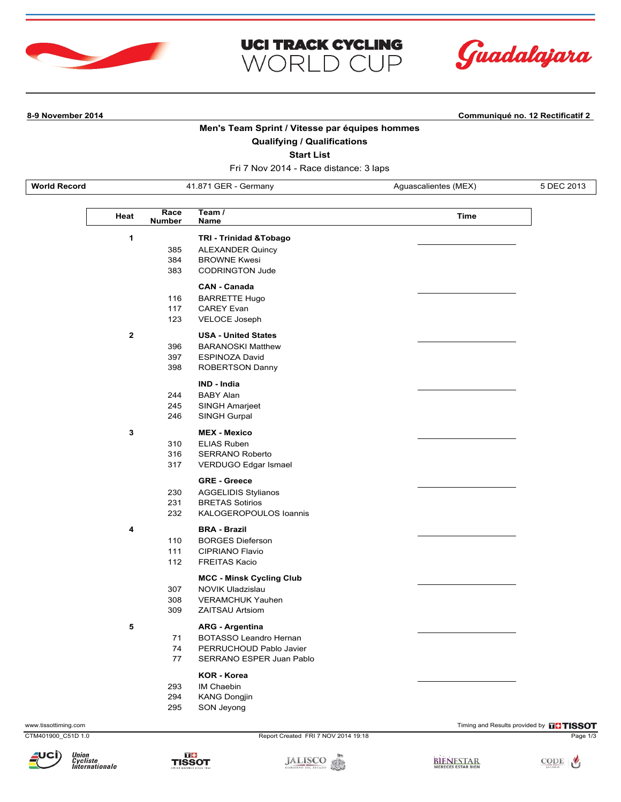





**8-9 November 2014 Communiqué no. 12 Rectificatif 2**

**Men's Team Sprint / Vitesse par équipes hommes**

# **Qualifying / Qualifications**

**Start List**

Fri 7 Nov 2014 - Race distance: 3 laps

**World Record 41.871 GER - Germany Aguascalientes (MEX)** 5 DEC 2013

| Heat         | Race<br><b>Number</b> | Team /<br>Name                  | <b>Time</b> |
|--------------|-----------------------|---------------------------------|-------------|
| 1            |                       | TRI - Trinidad & Tobago         |             |
|              | 385                   | <b>ALEXANDER Quincy</b>         |             |
|              | 384                   | <b>BROWNE Kwesi</b>             |             |
|              | 383                   | <b>CODRINGTON Jude</b>          |             |
|              |                       | <b>CAN - Canada</b>             |             |
|              | 116                   | <b>BARRETTE Hugo</b>            |             |
|              | 117                   | <b>CAREY Evan</b>               |             |
|              | 123                   | <b>VELOCE Joseph</b>            |             |
| $\mathbf{2}$ |                       | <b>USA - United States</b>      |             |
|              | 396                   | <b>BARANOSKI Matthew</b>        |             |
|              | 397                   | <b>ESPINOZA David</b>           |             |
|              | 398                   | ROBERTSON Danny                 |             |
|              |                       | IND - India                     |             |
|              | 244                   | <b>BABY Alan</b>                |             |
|              | 245                   | SINGH Amarjeet                  |             |
|              | 246                   | SINGH Gurpal                    |             |
| 3            |                       | <b>MEX - Mexico</b>             |             |
|              | 310                   | <b>ELIAS Ruben</b>              |             |
|              | 316                   | <b>SERRANO Roberto</b>          |             |
|              | 317                   | VERDUGO Edgar Ismael            |             |
|              |                       | <b>GRE - Greece</b>             |             |
|              | 230                   | <b>AGGELIDIS Stylianos</b>      |             |
|              | 231                   | <b>BRETAS Sotirios</b>          |             |
|              | 232                   | KALOGEROPOULOS Ioannis          |             |
| 4            |                       | <b>BRA - Brazil</b>             |             |
|              | 110                   | <b>BORGES Dieferson</b>         |             |
|              | 111                   | <b>CIPRIANO Flavio</b>          |             |
|              | 112                   | <b>FREITAS Kacio</b>            |             |
|              |                       | <b>MCC - Minsk Cycling Club</b> |             |
|              | 307                   | <b>NOVIK Uladzislau</b>         |             |
|              | 308                   | <b>VERAMCHUK Yauhen</b>         |             |
|              | 309                   | <b>ZAITSAU Artsiom</b>          |             |
| 5            |                       | <b>ARG - Argentina</b>          |             |
|              | 71                    | BOTASSO Leandro Hernan          |             |
|              | 74                    | PERRUCHOUD Pablo Javier         |             |
|              | 77                    | <b>SERRANO ESPER Juan Pablo</b> |             |
|              |                       | <b>KOR - Korea</b>              |             |
|              | 293                   | IM Chaebin                      |             |
|              | 294                   | <b>KANG Dongjin</b>             |             |
|              | 295                   | SON Jevong                      |             |





www.tissottiming.com **EXECUTE CONTENTS OF EXECUTE CONTENTS OF EXECUTE CONTENTS OF EXECUTE CONTENTS OF EXECUTE CONTENTS OF EXECUTIVE CONTENTS OF THE RESOLUTION OF THE RESOLUTION OF THE RESOLUTION OF THE RESOLUTION OF THE RE** 





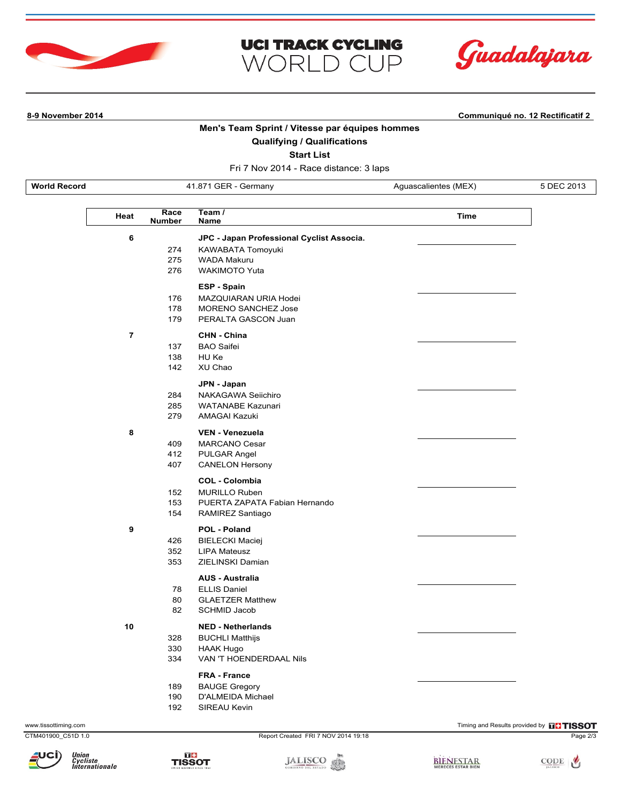





**8-9 November 2014 Communiqué no. 12 Rectificatif 2**

**Men's Team Sprint / Vitesse par équipes hommes**

# **Qualifying / Qualifications**

**Start List**

Fri 7 Nov 2014 - Race distance: 3 laps

| <b>World Record</b> |
|---------------------|
|                     |

Aguascalientes (MEX) 5 DEC 2013

| Heat                    | Race<br><b>Number</b> | Team /<br>Name                            | <b>Time</b> |
|-------------------------|-----------------------|-------------------------------------------|-------------|
|                         |                       |                                           |             |
| 6                       |                       | JPC - Japan Professional Cyclist Associa. |             |
|                         | 274                   | KAWABATA Tomoyuki                         |             |
|                         | 275                   | <b>WADA Makuru</b>                        |             |
|                         | 276                   | <b>WAKIMOTO Yuta</b>                      |             |
|                         |                       | <b>ESP - Spain</b>                        |             |
|                         | 176                   | MAZQUIARAN URIA Hodei                     |             |
|                         | 178                   | <b>MORENO SANCHEZ Jose</b>                |             |
|                         | 179                   | PERALTA GASCON Juan                       |             |
| $\overline{\mathbf{r}}$ |                       | CHN - China                               |             |
|                         | 137                   | <b>BAO Saifei</b>                         |             |
|                         | 138                   | HU Ke                                     |             |
|                         | 142                   | XU Chao                                   |             |
|                         |                       | JPN - Japan                               |             |
|                         | 284                   | NAKAGAWA Seiichiro                        |             |
|                         | 285                   | WATANABE Kazunari                         |             |
|                         | 279                   | <b>AMAGAI Kazuki</b>                      |             |
|                         |                       |                                           |             |
| 8                       |                       | <b>VEN - Venezuela</b>                    |             |
|                         | 409                   | <b>MARCANO Cesar</b>                      |             |
|                         | 412                   | PULGAR Angel                              |             |
|                         | 407                   | <b>CANELON Hersony</b>                    |             |
|                         |                       | <b>COL - Colombia</b>                     |             |
|                         | 152                   | <b>MURILLO Ruben</b>                      |             |
|                         | 153                   | PUERTA ZAPATA Fabian Hernando             |             |
|                         | 154                   | RAMIREZ Santiago                          |             |
| 9                       |                       | POL - Poland                              |             |
|                         | 426                   | <b>BIELECKI Maciej</b>                    |             |
|                         | 352                   | <b>LIPA Mateusz</b>                       |             |
|                         | 353                   | ZIELINSKI Damian                          |             |
|                         |                       |                                           |             |
|                         |                       | <b>AUS - Australia</b>                    |             |
|                         | 78                    | <b>ELLIS Daniel</b>                       |             |
|                         | 80                    | <b>GLAETZER Matthew</b>                   |             |
|                         | 82                    | <b>SCHMID Jacob</b>                       |             |
| 10                      |                       | <b>NED - Netherlands</b>                  |             |
|                         | 328                   | <b>BUCHLI Matthijs</b>                    |             |
|                         | 330                   | <b>HAAK Hugo</b>                          |             |
|                         | 334                   | VAN 'T HOENDERDAAL Nils                   |             |
|                         |                       | <b>FRA - France</b>                       |             |
|                         | 189                   | <b>BAUGE Gregory</b>                      |             |
|                         | 190                   | D'ALMEIDA Michael                         |             |
|                         | 192                   | <b>SIREAU Kevin</b>                       |             |
|                         |                       |                                           |             |

CTM401900\_C51D 1.0 Report Created FRI 7 NOV 2014 19:18 Page 2/3







BIENESTAR